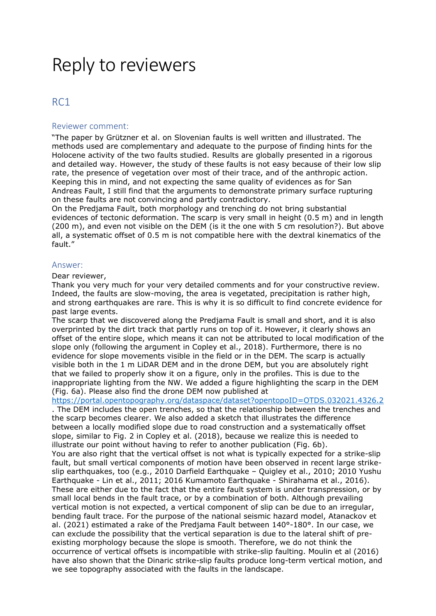# Reply to reviewers

# RC1

# Reviewer comment:

"The paper by Grützner et al. on Slovenian faults is well written and illustrated. The methods used are complementary and adequate to the purpose of finding hints for the Holocene activity of the two faults studied. Results are globally presented in a rigorous and detailed way. However, the study of these faults is not easy because of their low slip rate, the presence of vegetation over most of their trace, and of the anthropic action. Keeping this in mind, and not expecting the same quality of evidences as for San Andreas Fault, I still find that the arguments to demonstrate primary surface rupturing on these faults are not convincing and partly contradictory.

On the Predjama Fault, both morphology and trenching do not bring substantial evidences of tectonic deformation. The scarp is very small in height (0.5 m) and in length (200 m), and even not visible on the DEM (is it the one with 5 cm resolution?). But above all, a systematic offset of 0.5 m is not compatible here with the dextral kinematics of the fault."

# Answer:

Dear reviewer,

Thank you very much for your very detailed comments and for your constructive review. Indeed, the faults are slow-moving, the area is vegetated, precipitation is rather high, and strong earthquakes are rare. This is why it is so difficult to find concrete evidence for past large events.

The scarp that we discovered along the Predjama Fault is small and short, and it is also overprinted by the dirt track that partly runs on top of it. However, it clearly shows an offset of the entire slope, which means it can not be attributed to local modification of the slope only (following the argument in Copley et al., 2018). Furthermore, there is no evidence for slope movements visible in the field or in the DEM. The scarp is actually visible both in the 1 m LiDAR DEM and in the drone DEM, but you are absolutely right that we failed to properly show it on a figure, only in the profiles. This is due to the inappropriate lighting from the NW. We added a figure highlighting the scarp in the DEM (Fig. 6a). Please also find the drone DEM now published at

https://portal.opentopography.org/dataspace/dataset?opentopoID=OTDS.032021.4326.2

. The DEM includes the open trenches, so that the relationship between the trenches and the scarp becomes clearer. We also added a sketch that illustrates the difference between a locally modified slope due to road construction and a systematically offset slope, similar to Fig. 2 in Copley et al. (2018), because we realize this is needed to illustrate our point without having to refer to another publication (Fig. 6b). You are also right that the vertical offset is not what is typically expected for a strike-slip fault, but small vertical components of motion have been observed in recent large strikeslip earthquakes, too (e.g., 2010 Darfield Earthquake – Quigley et al., 2010; 2010 Yushu Earthquake - Lin et al., 2011; 2016 Kumamoto Earthquake - Shirahama et al., 2016). These are either due to the fact that the entire fault system is under transpression, or by small local bends in the fault trace, or by a combination of both. Although prevailing vertical motion is not expected, a vertical component of slip can be due to an irregular, bending fault trace. For the purpose of the national seismic hazard model, Atanackov et al. (2021) estimated a rake of the Predjama Fault between 140°-180°. In our case, we can exclude the possibility that the vertical separation is due to the lateral shift of preexisting morphology because the slope is smooth. Therefore, we do not think the occurrence of vertical offsets is incompatible with strike-slip faulting. Moulin et al (2016) have also shown that the Dinaric strike-slip faults produce long-term vertical motion, and we see topography associated with the faults in the landscape.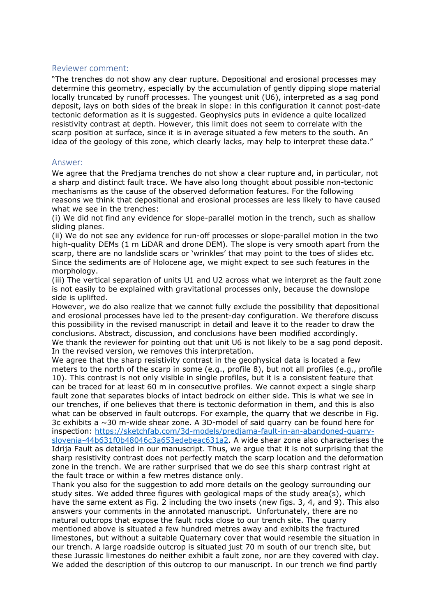# Reviewer comment:

"The trenches do not show any clear rupture. Depositional and erosional processes may determine this geometry, especially by the accumulation of gently dipping slope material locally truncated by runoff processes. The youngest unit (U6), interpreted as a sag pond deposit, lays on both sides of the break in slope: in this configuration it cannot post-date tectonic deformation as it is suggested. Geophysics puts in evidence a quite localized resistivity contrast at depth. However, this limit does not seem to correlate with the scarp position at surface, since it is in average situated a few meters to the south. An idea of the geology of this zone, which clearly lacks, may help to interpret these data."

#### Answer:

We agree that the Predjama trenches do not show a clear rupture and, in particular, not a sharp and distinct fault trace. We have also long thought about possible non-tectonic mechanisms as the cause of the observed deformation features. For the following reasons we think that depositional and erosional processes are less likely to have caused what we see in the trenches:

(i) We did not find any evidence for slope-parallel motion in the trench, such as shallow sliding planes.

(ii) We do not see any evidence for run-off processes or slope-parallel motion in the two high-quality DEMs (1 m LiDAR and drone DEM). The slope is very smooth apart from the scarp, there are no landslide scars or 'wrinkles' that may point to the toes of slides etc. Since the sediments are of Holocene age, we might expect to see such features in the morphology.

(iii) The vertical separation of units U1 and U2 across what we interpret as the fault zone is not easily to be explained with gravitational processes only, because the downslope side is uplifted.

However, we do also realize that we cannot fully exclude the possibility that depositional and erosional processes have led to the present-day configuration. We therefore discuss this possibility in the revised manuscript in detail and leave it to the reader to draw the conclusions. Abstract, discussion, and conclusions have been modified accordingly. We thank the reviewer for pointing out that unit U6 is not likely to be a sag pond deposit. In the revised version, we removes this interpretation.

We agree that the sharp resistivity contrast in the geophysical data is located a few meters to the north of the scarp in some (e.g., profile 8), but not all profiles (e.g., profile 10). This contrast is not only visible in single profiles, but it is a consistent feature that can be traced for at least 60 m in consecutive profiles. We cannot expect a single sharp fault zone that separates blocks of intact bedrock on either side. This is what we see in our trenches, if one believes that there is tectonic deformation in them, and this is also what can be observed in fault outcrops. For example, the quarry that we describe in Fig. 3c exhibits a  $\sim$  30 m-wide shear zone. A 3D-model of said quarry can be found here for inspection: https://sketchfab.com/3d-models/predjama-fault-in-an-abandoned-quarryslovenia-44b631f0b48046c3a653edebeac631a2. A wide shear zone also characterises the Idrija Fault as detailed in our manuscript. Thus, we argue that it is not surprising that the sharp resistivity contrast does not perfectly match the scarp location and the deformation zone in the trench. We are rather surprised that we do see this sharp contrast right at the fault trace or within a few metres distance only.

Thank you also for the suggestion to add more details on the geology surrounding our study sites. We added three figures with geological maps of the study area(s), which have the same extent as Fig. 2 including the two insets (new figs. 3, 4, and 9). This also answers your comments in the annotated manuscript. Unfortunately, there are no natural outcrops that expose the fault rocks close to our trench site. The quarry mentioned above is situated a few hundred metres away and exhibits the fractured limestones, but without a suitable Quaternary cover that would resemble the situation in our trench. A large roadside outcrop is situated just 70 m south of our trench site, but these Jurassic limestones do neither exhibit a fault zone, nor are they covered with clay. We added the description of this outcrop to our manuscript. In our trench we find partly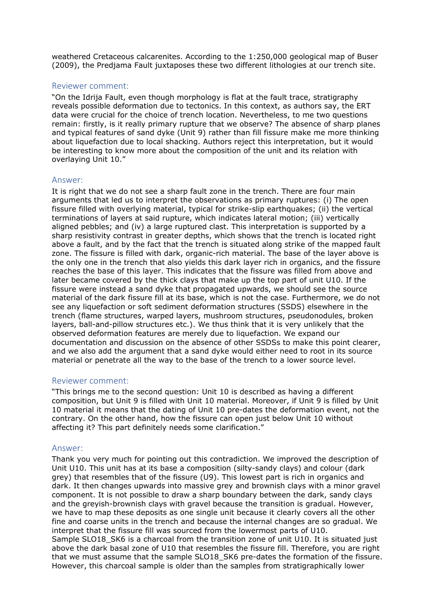weathered Cretaceous calcarenites. According to the 1:250,000 geological map of Buser (2009), the Predjama Fault juxtaposes these two different lithologies at our trench site.

# Reviewer comment:

"On the Idrija Fault, even though morphology is flat at the fault trace, stratigraphy reveals possible deformation due to tectonics. In this context, as authors say, the ERT data were crucial for the choice of trench location. Nevertheless, to me two questions remain: firstly, is it really primary rupture that we observe? The absence of sharp planes and typical features of sand dyke (Unit 9) rather than fill fissure make me more thinking about liquefaction due to local shacking. Authors reject this interpretation, but it would be interesting to know more about the composition of the unit and its relation with overlaying Unit 10."

# Answer:

It is right that we do not see a sharp fault zone in the trench. There are four main arguments that led us to interpret the observations as primary ruptures: (i) The open fissure filled with overlying material, typical for strike-slip earthquakes; (ii) the vertical terminations of layers at said rupture, which indicates lateral motion; (iii) vertically aligned pebbles; and (iv) a large ruptured clast. This interpretation is supported by a sharp resistivity contrast in greater depths, which shows that the trench is located right above a fault, and by the fact that the trench is situated along strike of the mapped fault zone. The fissure is filled with dark, organic-rich material. The base of the layer above is the only one in the trench that also yields this dark layer rich in organics, and the fissure reaches the base of this layer. This indicates that the fissure was filled from above and later became covered by the thick clays that make up the top part of unit U10. If the fissure were instead a sand dyke that propagated upwards, we should see the source material of the dark fissure fill at its base, which is not the case. Furthermore, we do not see any liquefaction or soft sediment deformation structures (SSDS) elsewhere in the trench (flame structures, warped layers, mushroom structures, pseudonodules, broken layers, ball-and-pillow structures etc.). We thus think that it is very unlikely that the observed deformation features are merely due to liquefaction. We expand our documentation and discussion on the absence of other SSDSs to make this point clearer, and we also add the argument that a sand dyke would either need to root in its source material or penetrate all the way to the base of the trench to a lower source level.

# Reviewer comment:

"This brings me to the second question: Unit 10 is described as having a different composition, but Unit 9 is filled with Unit 10 material. Moreover, if Unit 9 is filled by Unit 10 material it means that the dating of Unit 10 pre-dates the deformation event, not the contrary. On the other hand, how the fissure can open just below Unit 10 without affecting it? This part definitely needs some clarification."

# Answer:

Thank you very much for pointing out this contradiction. We improved the description of Unit U10. This unit has at its base a composition (silty-sandy clays) and colour (dark grey) that resembles that of the fissure (U9). This lowest part is rich in organics and dark. It then changes upwards into massive grey and brownish clays with a minor gravel component. It is not possible to draw a sharp boundary between the dark, sandy clays and the greyish-brownish clays with gravel because the transition is gradual. However, we have to map these deposits as one single unit because it clearly covers all the other fine and coarse units in the trench and because the internal changes are so gradual. We interpret that the fissure fill was sourced from the lowermost parts of U10. Sample SLO18\_SK6 is a charcoal from the transition zone of unit U10. It is situated just above the dark basal zone of U10 that resembles the fissure fill. Therefore, you are right that we must assume that the sample SLO18\_SK6 pre-dates the formation of the fissure. However, this charcoal sample is older than the samples from stratigraphically lower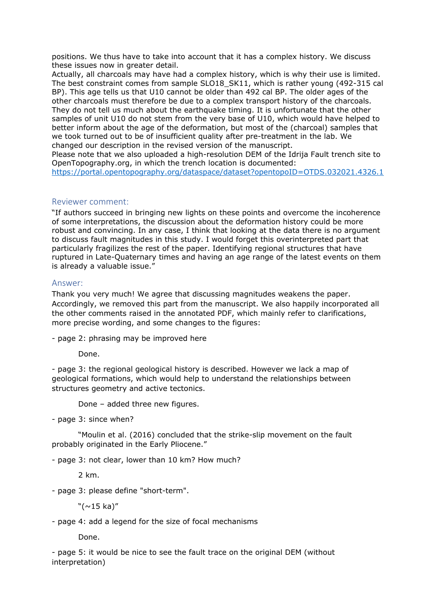positions. We thus have to take into account that it has a complex history. We discuss these issues now in greater detail.

Actually, all charcoals may have had a complex history, which is why their use is limited. The best constraint comes from sample SLO18\_SK11, which is rather young (492-315 cal BP). This age tells us that U10 cannot be older than 492 cal BP. The older ages of the other charcoals must therefore be due to a complex transport history of the charcoals. They do not tell us much about the earthquake timing. It is unfortunate that the other samples of unit U10 do not stem from the very base of U10, which would have helped to better inform about the age of the deformation, but most of the (charcoal) samples that we took turned out to be of insufficient quality after pre-treatment in the lab. We changed our description in the revised version of the manuscript.

Please note that we also uploaded a high-resolution DEM of the Idrija Fault trench site to OpenTopography.org, in which the trench location is documented:

https://portal.opentopography.org/dataspace/dataset?opentopoID=OTDS.032021.4326.1

# Reviewer comment:

"If authors succeed in bringing new lights on these points and overcome the incoherence of some interpretations, the discussion about the deformation history could be more robust and convincing. In any case, I think that looking at the data there is no argument to discuss fault magnitudes in this study. I would forget this overinterpreted part that particularly fragilizes the rest of the paper. Identifying regional structures that have ruptured in Late-Quaternary times and having an age range of the latest events on them is already a valuable issue."

#### Answer:

Thank you very much! We agree that discussing magnitudes weakens the paper. Accordingly, we removed this part from the manuscript. We also happily incorporated all the other comments raised in the annotated PDF, which mainly refer to clarifications, more precise wording, and some changes to the figures:

- page 2: phrasing may be improved here

Done.

- page 3: the regional geological history is described. However we lack a map of geological formations, which would help to understand the relationships between structures geometry and active tectonics.

Done – added three new figures.

- page 3: since when?

 "Moulin et al. (2016) concluded that the strike-slip movement on the fault probably originated in the Early Pliocene."

- page 3: not clear, lower than 10 km? How much?

2 km.

- page 3: please define "short-term".

 $"(\sim 15 \text{ ka})"$ 

- page 4: add a legend for the size of focal mechanisms

Done.

- page 5: it would be nice to see the fault trace on the original DEM (without interpretation)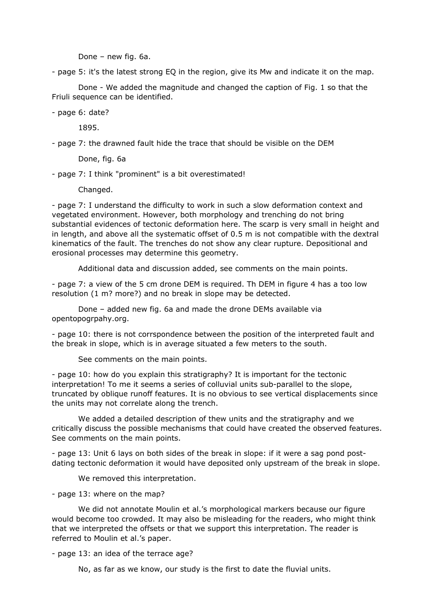Done – new fig. 6a.

- page 5: it's the latest strong EQ in the region, give its Mw and indicate it on the map.

 Done - We added the magnitude and changed the caption of Fig. 1 so that the Friuli sequence can be identified.

- page 6: date?

1895.

- page 7: the drawned fault hide the trace that should be visible on the DEM

Done, fig. 6a

- page 7: I think "prominent" is a bit overestimated!

Changed.

- page 7: I understand the difficulty to work in such a slow deformation context and vegetated environment. However, both morphology and trenching do not bring substantial evidences of tectonic deformation here. The scarp is very small in height and in length, and above all the systematic offset of 0.5 m is not compatible with the dextral kinematics of the fault. The trenches do not show any clear rupture. Depositional and erosional processes may determine this geometry.

Additional data and discussion added, see comments on the main points.

- page 7: a view of the 5 cm drone DEM is required. Th DEM in figure 4 has a too low resolution (1 m? more?) and no break in slope may be detected.

 Done – added new fig. 6a and made the drone DEMs available via opentopogrpahy.org.

- page 10: there is not corrspondence between the position of the interpreted fault and the break in slope, which is in average situated a few meters to the south.

See comments on the main points.

- page 10: how do you explain this stratigraphy? It is important for the tectonic interpretation! To me it seems a series of colluvial units sub-parallel to the slope, truncated by oblique runoff features. It is no obvious to see vertical displacements since the units may not correlate along the trench.

 We added a detailed description of thew units and the stratigraphy and we critically discuss the possible mechanisms that could have created the observed features. See comments on the main points.

- page 13: Unit 6 lays on both sides of the break in slope: if it were a sag pond postdating tectonic deformation it would have deposited only upstream of the break in slope.

We removed this interpretation.

- page 13: where on the map?

 We did not annotate Moulin et al.'s morphological markers because our figure would become too crowded. It may also be misleading for the readers, who might think that we interpreted the offsets or that we support this interpretation. The reader is referred to Moulin et al.'s paper.

- page 13: an idea of the terrace age?

No, as far as we know, our study is the first to date the fluvial units.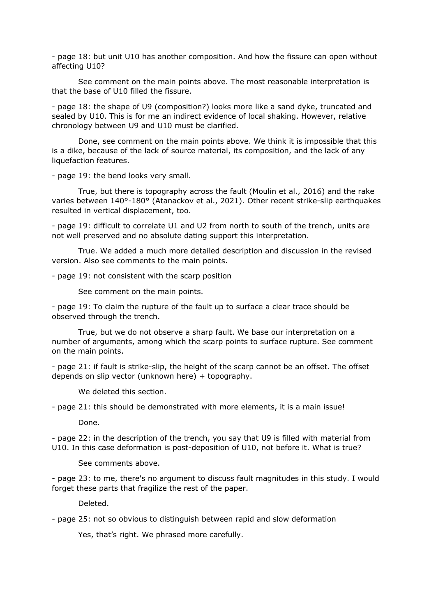- page 18: but unit U10 has another composition. And how the fissure can open without affecting U10?

 See comment on the main points above. The most reasonable interpretation is that the base of U10 filled the fissure.

- page 18: the shape of U9 (composition?) looks more like a sand dyke, truncated and sealed by U10. This is for me an indirect evidence of local shaking. However, relative chronology between U9 and U10 must be clarified.

 Done, see comment on the main points above. We think it is impossible that this is a dike, because of the lack of source material, its composition, and the lack of any liquefaction features.

- page 19: the bend looks very small.

 True, but there is topography across the fault (Moulin et al., 2016) and the rake varies between 140°-180° (Atanackov et al., 2021). Other recent strike-slip earthquakes resulted in vertical displacement, too.

- page 19: difficult to correlate U1 and U2 from north to south of the trench, units are not well preserved and no absolute dating support this interpretation.

 True. We added a much more detailed description and discussion in the revised version. Also see comments to the main points.

- page 19: not consistent with the scarp position

See comment on the main points.

- page 19: To claim the rupture of the fault up to surface a clear trace should be observed through the trench.

 True, but we do not observe a sharp fault. We base our interpretation on a number of arguments, among which the scarp points to surface rupture. See comment on the main points.

- page 21: if fault is strike-slip, the height of the scarp cannot be an offset. The offset depends on slip vector (unknown here) + topography.

We deleted this section.

- page 21: this should be demonstrated with more elements, it is a main issue!

Done.

- page 22: in the description of the trench, you say that U9 is filled with material from U10. In this case deformation is post-deposition of U10, not before it. What is true?

See comments above.

- page 23: to me, there's no argument to discuss fault magnitudes in this study. I would forget these parts that fragilize the rest of the paper.

Deleted.

- page 25: not so obvious to distinguish between rapid and slow deformation

Yes, that's right. We phrased more carefully.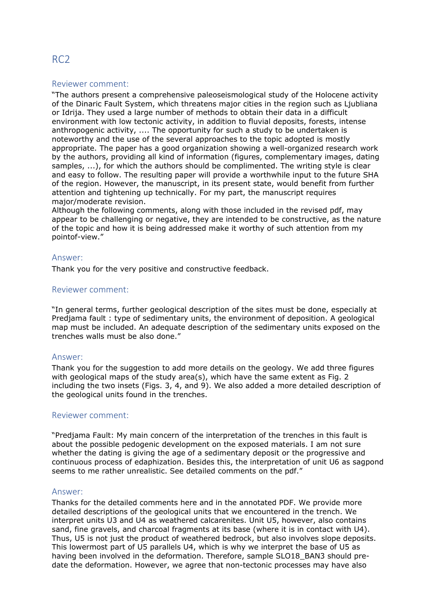# RC2

# Reviewer comment:

"The authors present a comprehensive paleoseismological study of the Holocene activity of the Dinaric Fault System, which threatens major cities in the region such as Ljubliana or Idrija. They used a large number of methods to obtain their data in a difficult environment with low tectonic activity, in addition to fluvial deposits, forests, intense anthropogenic activity, .... The opportunity for such a study to be undertaken is noteworthy and the use of the several approaches to the topic adopted is mostly appropriate. The paper has a good organization showing a well-organized research work by the authors, providing all kind of information (figures, complementary images, dating samples, ...), for which the authors should be complimented. The writing style is clear and easy to follow. The resulting paper will provide a worthwhile input to the future SHA of the region. However, the manuscript, in its present state, would benefit from further attention and tightening up technically. For my part, the manuscript requires major/moderate revision.

Although the following comments, along with those included in the revised pdf, may appear to be challenging or negative, they are intended to be constructive, as the nature of the topic and how it is being addressed make it worthy of such attention from my pointof-view."

# Answer:

Thank you for the very positive and constructive feedback.

# Reviewer comment:

"In general terms, further geological description of the sites must be done, especially at Predjama fault : type of sedimentary units, the environment of deposition. A geological map must be included. An adequate description of the sedimentary units exposed on the trenches walls must be also done."

# Answer:

Thank you for the suggestion to add more details on the geology. We add three figures with geological maps of the study area(s), which have the same extent as Fig. 2 including the two insets (Figs. 3, 4, and 9). We also added a more detailed description of the geological units found in the trenches.

# Reviewer comment:

"Predjama Fault: My main concern of the interpretation of the trenches in this fault is about the possible pedogenic development on the exposed materials. I am not sure whether the dating is giving the age of a sedimentary deposit or the progressive and continuous process of edaphization. Besides this, the interpretation of unit U6 as sagpond seems to me rather unrealistic. See detailed comments on the pdf."

#### Answer:

Thanks for the detailed comments here and in the annotated PDF. We provide more detailed descriptions of the geological units that we encountered in the trench. We interpret units U3 and U4 as weathered calcarenites. Unit U5, however, also contains sand, fine gravels, and charcoal fragments at its base (where it is in contact with U4). Thus, U5 is not just the product of weathered bedrock, but also involves slope deposits. This lowermost part of U5 parallels U4, which is why we interpret the base of U5 as having been involved in the deformation. Therefore, sample SLO18 BAN3 should predate the deformation. However, we agree that non-tectonic processes may have also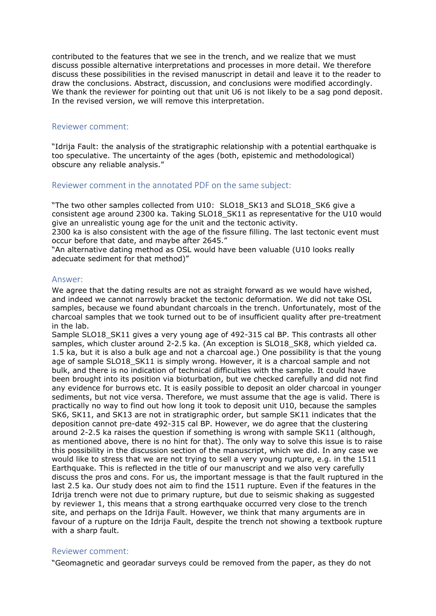contributed to the features that we see in the trench, and we realize that we must discuss possible alternative interpretations and processes in more detail. We therefore discuss these possibilities in the revised manuscript in detail and leave it to the reader to draw the conclusions. Abstract, discussion, and conclusions were modified accordingly. We thank the reviewer for pointing out that unit U6 is not likely to be a sag pond deposit. In the revised version, we will remove this interpretation.

#### Reviewer comment:

"Idrija Fault: the analysis of the stratigraphic relationship with a potential earthquake is too speculative. The uncertainty of the ages (both, epistemic and methodological) obscure any reliable analysis."

# Reviewer comment in the annotated PDF on the same subject:

"The two other samples collected from U10: SLO18\_SK13 and SLO18\_SK6 give a consistent age around 2300 ka. Taking SLO18\_SK11 as representative for the U10 would give an unrealistic young age for the unit and the tectonic activity.

2300 ka is also consistent with the age of the fissure filling. The last tectonic event must occur before that date, and maybe after 2645."

"An alternative dating method as OSL would have been valuable (U10 looks really adecuate sediment for that method)"

#### Answer:

We agree that the dating results are not as straight forward as we would have wished, and indeed we cannot narrowly bracket the tectonic deformation. We did not take OSL samples, because we found abundant charcoals in the trench. Unfortunately, most of the charcoal samples that we took turned out to be of insufficient quality after pre-treatment in the lab.

Sample SLO18\_SK11 gives a very young age of 492-315 cal BP. This contrasts all other samples, which cluster around 2-2.5 ka. (An exception is SLO18 SK8, which yielded ca. 1.5 ka, but it is also a bulk age and not a charcoal age.) One possibility is that the young age of sample SLO18 SK11 is simply wrong. However, it is a charcoal sample and not bulk, and there is no indication of technical difficulties with the sample. It could have been brought into its position via bioturbation, but we checked carefully and did not find any evidence for burrows etc. It is easily possible to deposit an older charcoal in younger sediments, but not vice versa. Therefore, we must assume that the age is valid. There is practically no way to find out how long it took to deposit unit U10, because the samples SK6, SK11, and SK13 are not in stratigraphic order, but sample SK11 indicates that the deposition cannot pre-date 492-315 cal BP. However, we do agree that the clustering around 2-2.5 ka raises the question if something is wrong with sample SK11 (although, as mentioned above, there is no hint for that). The only way to solve this issue is to raise this possibility in the discussion section of the manuscript, which we did. In any case we would like to stress that we are not trying to sell a very young rupture, e.g. in the 1511 Earthquake. This is reflected in the title of our manuscript and we also very carefully discuss the pros and cons. For us, the important message is that the fault ruptured in the last 2.5 ka. Our study does not aim to find the 1511 rupture. Even if the features in the Idrija trench were not due to primary rupture, but due to seismic shaking as suggested by reviewer 1, this means that a strong earthquake occurred very close to the trench site, and perhaps on the Idrija Fault. However, we think that many arguments are in favour of a rupture on the Idrija Fault, despite the trench not showing a textbook rupture with a sharp fault.

# Reviewer comment:

"Geomagnetic and georadar surveys could be removed from the paper, as they do not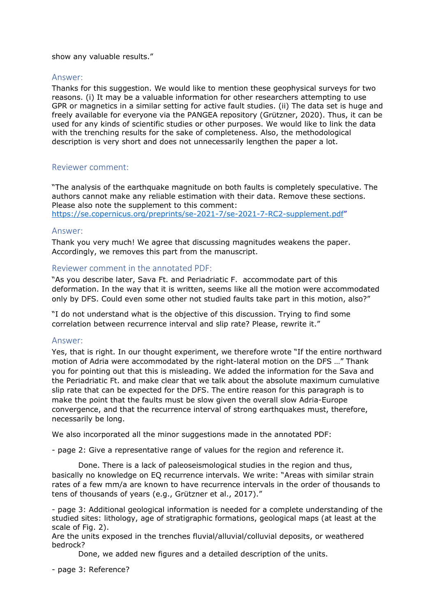#### show any valuable results."

# Answer:

Thanks for this suggestion. We would like to mention these geophysical surveys for two reasons. (i) It may be a valuable information for other researchers attempting to use GPR or magnetics in a similar setting for active fault studies. (ii) The data set is huge and freely available for everyone via the PANGEA repository (Grützner, 2020). Thus, it can be used for any kinds of scientific studies or other purposes. We would like to link the data with the trenching results for the sake of completeness. Also, the methodological description is very short and does not unnecessarily lengthen the paper a lot.

# Reviewer comment:

"The analysis of the earthquake magnitude on both faults is completely speculative. The authors cannot make any reliable estimation with their data. Remove these sections. Please also note the supplement to this comment: https://se.copernicus.org/preprints/se-2021-7/se-2021-7-RC2-supplement.pdf"

# Answer:

Thank you very much! We agree that discussing magnitudes weakens the paper. Accordingly, we removes this part from the manuscript.

# Reviewer comment in the annotated PDF:

"As you describe later, Sava Ft. and Periadriatic F. accommodate part of this deformation. In the way that it is written, seems like all the motion were accommodated only by DFS. Could even some other not studied faults take part in this motion, also?"

"I do not understand what is the objective of this discussion. Trying to find some correlation between recurrence interval and slip rate? Please, rewrite it."

# Answer:

Yes, that is right. In our thought experiment, we therefore wrote "If the entire northward motion of Adria were accommodated by the right-lateral motion on the DFS …" Thank you for pointing out that this is misleading. We added the information for the Sava and the Periadriatic Ft. and make clear that we talk about the absolute maximum cumulative slip rate that can be expected for the DFS. The entire reason for this paragraph is to make the point that the faults must be slow given the overall slow Adria-Europe convergence, and that the recurrence interval of strong earthquakes must, therefore, necessarily be long.

We also incorporated all the minor suggestions made in the annotated PDF:

- page 2: Give a representative range of values for the region and reference it.

 Done. There is a lack of paleoseismological studies in the region and thus, basically no knowledge on EQ recurrence intervals. We write: "Areas with similar strain rates of a few mm/a are known to have recurrence intervals in the order of thousands to tens of thousands of years (e.g., Grützner et al., 2017)."

- page 3: Additional geological information is needed for a complete understanding of the studied sites: lithology, age of stratigraphic formations, geological maps (at least at the scale of Fig. 2).

Are the units exposed in the trenches fluvial/alluvial/colluvial deposits, or weathered bedrock?

Done, we added new figures and a detailed description of the units.

- page 3: Reference?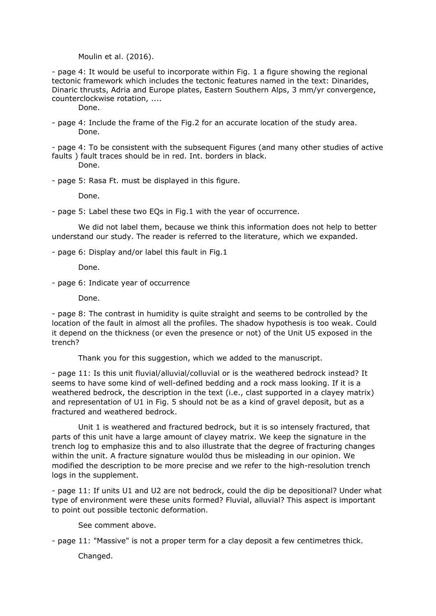Moulin et al. (2016).

- page 4: It would be useful to incorporate within Fig. 1 a figure showing the regional tectonic framework which includes the tectonic features named in the text: Dinarides, Dinaric thrusts, Adria and Europe plates, Eastern Southern Alps, 3 mm/yr convergence, counterclockwise rotation, ....

Done.

- page 4: Include the frame of the Fig.2 for an accurate location of the study area. Done.

- page 4: To be consistent with the subsequent Figures (and many other studies of active faults ) fault traces should be in red. Int. borders in black. Done.

- page 5: Rasa Ft. must be displayed in this figure.

Done.

- page 5: Label these two EQs in Fig.1 with the year of occurrence.

 We did not label them, because we think this information does not help to better understand our study. The reader is referred to the literature, which we expanded.

- page 6: Display and/or label this fault in Fig.1

Done.

- page 6: Indicate year of occurrence

Done.

- page 8: The contrast in humidity is quite straight and seems to be controlled by the location of the fault in almost all the profiles. The shadow hypothesis is too weak. Could it depend on the thickness (or even the presence or not) of the Unit U5 exposed in the trench?

Thank you for this suggestion, which we added to the manuscript.

- page 11: Is this unit fluvial/alluvial/colluvial or is the weathered bedrock instead? It seems to have some kind of well-defined bedding and a rock mass looking. If it is a weathered bedrock, the description in the text (i.e., clast supported in a clayey matrix) and representation of U1 in Fig. 5 should not be as a kind of gravel deposit, but as a fractured and weathered bedrock.

 Unit 1 is weathered and fractured bedrock, but it is so intensely fractured, that parts of this unit have a large amount of clayey matrix. We keep the signature in the trench log to emphasize this and to also illustrate that the degree of fracturing changes within the unit. A fracture signature woulöd thus be misleading in our opinion. We modified the description to be more precise and we refer to the high-resolution trench logs in the supplement.

- page 11: If units U1 and U2 are not bedrock, could the dip be depositional? Under what type of environment were these units formed? Fluvial, alluvial? This aspect is important to point out possible tectonic deformation.

See comment above.

- page 11: "Massive" is not a proper term for a clay deposit a few centimetres thick.

Changed.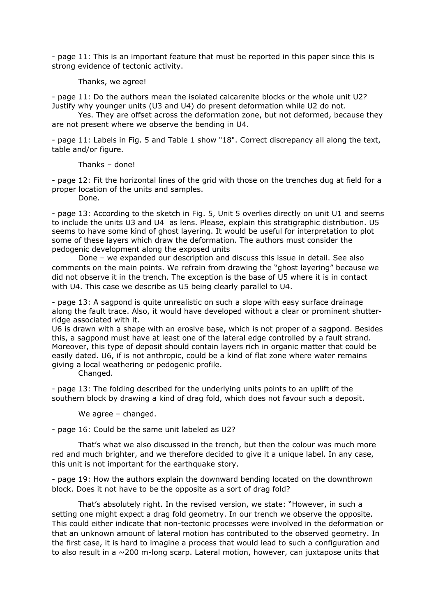- page 11: This is an important feature that must be reported in this paper since this is strong evidence of tectonic activity.

Thanks, we agree!

- page 11: Do the authors mean the isolated calcarenite blocks or the whole unit U2? Justify why younger units (U3 and U4) do present deformation while U2 do not.

 Yes. They are offset across the deformation zone, but not deformed, because they are not present where we observe the bending in U4.

- page 11: Labels in Fig. 5 and Table 1 show "18". Correct discrepancy all along the text, table and/or figure.

Thanks – done!

- page 12: Fit the horizontal lines of the grid with those on the trenches dug at field for a proper location of the units and samples.

Done.

- page 13: According to the sketch in Fig. 5, Unit 5 overlies directly on unit U1 and seems to include the units U3 and U4 as lens. Please, explain this stratigraphic distribution. U5 seems to have some kind of ghost layering. It would be useful for interpretation to plot some of these layers which draw the deformation. The authors must consider the pedogenic development along the exposed units

 Done – we expanded our description and discuss this issue in detail. See also comments on the main points. We refrain from drawing the "ghost layering" because we did not observe it in the trench. The exception is the base of U5 where it is in contact with U4. This case we describe as U5 being clearly parallel to U4.

- page 13: A sagpond is quite unrealistic on such a slope with easy surface drainage along the fault trace. Also, it would have developed without a clear or prominent shutterridge associated with it.

U6 is drawn with a shape with an erosive base, which is not proper of a sagpond. Besides this, a sagpond must have at least one of the lateral edge controlled by a fault strand. Moreover, this type of deposit should contain layers rich in organic matter that could be easily dated. U6, if is not anthropic, could be a kind of flat zone where water remains giving a local weathering or pedogenic profile.

Changed.

- page 13: The folding described for the underlying units points to an uplift of the southern block by drawing a kind of drag fold, which does not favour such a deposit.

We agree – changed.

- page 16: Could be the same unit labeled as U2?

 That's what we also discussed in the trench, but then the colour was much more red and much brighter, and we therefore decided to give it a unique label. In any case, this unit is not important for the earthquake story.

- page 19: How the authors explain the downward bending located on the downthrown block. Does it not have to be the opposite as a sort of drag fold?

 That's absolutely right. In the revised version, we state: "However, in such a setting one might expect a drag fold geometry. In our trench we observe the opposite. This could either indicate that non-tectonic processes were involved in the deformation or that an unknown amount of lateral motion has contributed to the observed geometry. In the first case, it is hard to imagine a process that would lead to such a configuration and to also result in a ~200 m-long scarp. Lateral motion, however, can juxtapose units that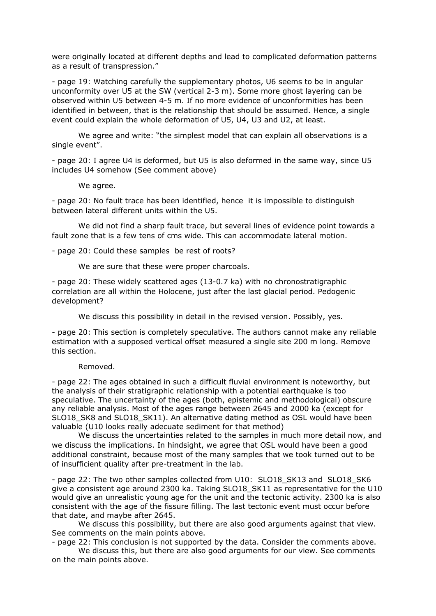were originally located at different depths and lead to complicated deformation patterns as a result of transpression."

- page 19: Watching carefully the supplementary photos, U6 seems to be in angular unconformity over U5 at the SW (vertical 2-3 m). Some more ghost layering can be observed within U5 between 4-5 m. If no more evidence of unconformities has been identified in between, that is the relationship that should be assumed. Hence, a single event could explain the whole deformation of U5, U4, U3 and U2, at least.

 We agree and write: "the simplest model that can explain all observations is a single event".

- page 20: I agree U4 is deformed, but U5 is also deformed in the same way, since U5 includes U4 somehow (See comment above)

We agree.

- page 20: No fault trace has been identified, hence it is impossible to distinguish between lateral different units within the U5.

 We did not find a sharp fault trace, but several lines of evidence point towards a fault zone that is a few tens of cms wide. This can accommodate lateral motion.

- page 20: Could these samples be rest of roots?

We are sure that these were proper charcoals.

- page 20: These widely scattered ages (13-0.7 ka) with no chronostratigraphic correlation are all within the Holocene, just after the last glacial period. Pedogenic development?

We discuss this possibility in detail in the revised version. Possibly, yes.

- page 20: This section is completely speculative. The authors cannot make any reliable estimation with a supposed vertical offset measured a single site 200 m long. Remove this section.

Removed.

- page 22: The ages obtained in such a difficult fluvial environment is noteworthy, but the analysis of their stratigraphic relationship with a potential earthquake is too speculative. The uncertainty of the ages (both, epistemic and methodological) obscure any reliable analysis. Most of the ages range between 2645 and 2000 ka (except for SLO18\_SK8 and SLO18\_SK11). An alternative dating method as OSL would have been valuable (U10 looks really adecuate sediment for that method)

 We discuss the uncertainties related to the samples in much more detail now, and we discuss the implications. In hindsight, we agree that OSL would have been a good additional constraint, because most of the many samples that we took turned out to be of insufficient quality after pre-treatment in the lab.

- page 22: The two other samples collected from U10: SLO18 SK13 and SLO18 SK6 give a consistent age around 2300 ka. Taking SLO18\_SK11 as representative for the U10 would give an unrealistic young age for the unit and the tectonic activity. 2300 ka is also consistent with the age of the fissure filling. The last tectonic event must occur before that date, and maybe after 2645.

We discuss this possibility, but there are also good arguments against that view. See comments on the main points above.

- page 22: This conclusion is not supported by the data. Consider the comments above.

 We discuss this, but there are also good arguments for our view. See comments on the main points above.